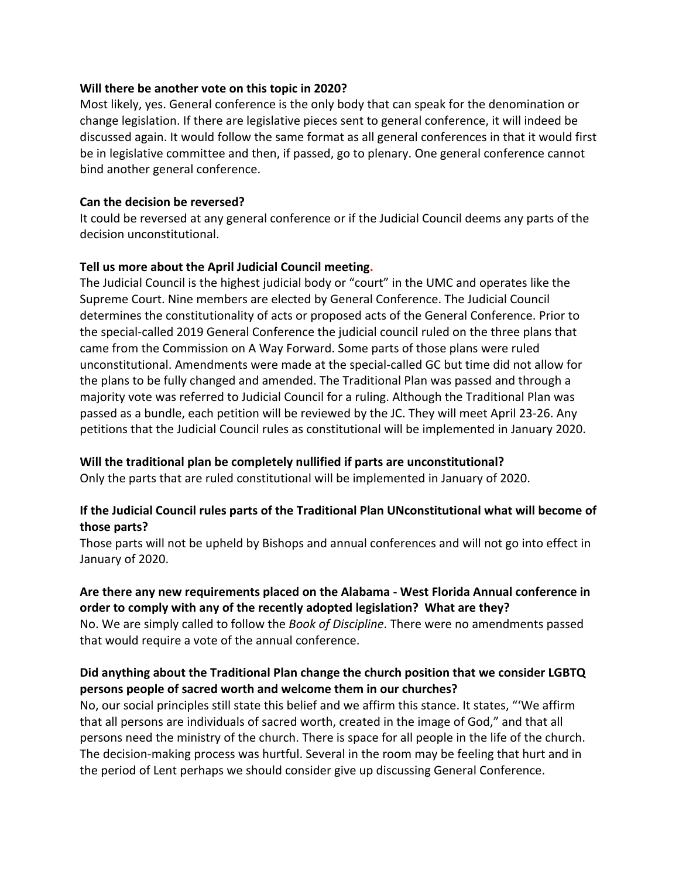#### **Will there be another vote on this topic in 2020?**

Most likely, yes. General conference is the only body that can speak for the denomination or change legislation. If there are legislative pieces sent to general conference, it will indeed be discussed again. It would follow the same format as all general conferences in that it would first be in legislative committee and then, if passed, go to plenary. One general conference cannot bind another general conference.

#### **Can the decision be reversed?**

It could be reversed at any general conference or if the Judicial Council deems any parts of the decision unconstitutional.

### **Tell us more about the April Judicial Council meeting.**

The Judicial Council is the highest judicial body or "court" in the UMC and operates like the Supreme Court. Nine members are elected by General Conference. The Judicial Council determines the constitutionality of acts or proposed acts of the General Conference. Prior to the special-called 2019 General Conference the judicial council ruled on the three plans that came from the Commission on A Way Forward. Some parts of those plans were ruled unconstitutional. Amendments were made at the special-called GC but time did not allow for the plans to be fully changed and amended. The Traditional Plan was passed and through a majority vote was referred to Judicial Council for a ruling. Although the Traditional Plan was passed as a bundle, each petition will be reviewed by the JC. They will meet April 23-26. Any petitions that the Judicial Council rules as constitutional will be implemented in January 2020.

#### **Will the traditional plan be completely nullified if parts are unconstitutional?**

Only the parts that are ruled constitutional will be implemented in January of 2020.

## **If the Judicial Council rules parts of the Traditional Plan UNconstitutional what will become of those parts?**

Those parts will not be upheld by Bishops and annual conferences and will not go into effect in January of 2020.

## **Are there any new requirements placed on the Alabama - West Florida Annual conference in order to comply with any of the recently adopted legislation? What are they?**

No. We are simply called to follow the *Book of Discipline*. There were no amendments passed that would require a vote of the annual conference.

# **Did anything about the Traditional Plan change the church position that we consider LGBTQ persons people of sacred worth and welcome them in our churches?**

No, our social principles still state this belief and we affirm this stance. It states, "'We affirm that all persons are individuals of sacred worth, created in the image of God," and that all persons need the ministry of the church. There is space for all people in the life of the church. The decision-making process was hurtful. Several in the room may be feeling that hurt and in the period of Lent perhaps we should consider give up discussing General Conference.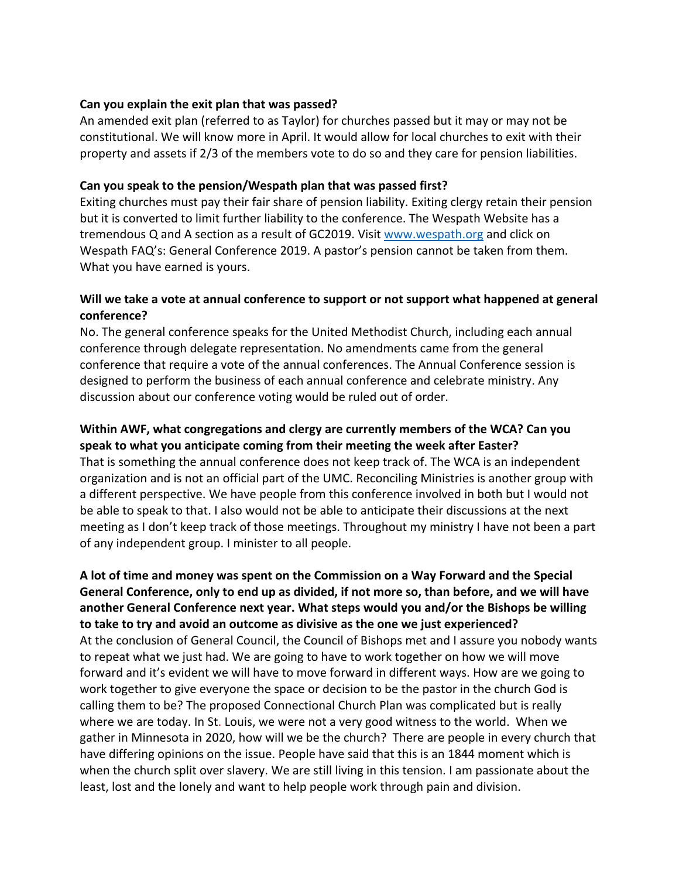#### **Can you explain the exit plan that was passed?**

An amended exit plan (referred to as Taylor) for churches passed but it may or may not be constitutional. We will know more in April. It would allow for local churches to exit with their property and assets if 2/3 of the members vote to do so and they care for pension liabilities.

#### **Can you speak to the pension/Wespath plan that was passed first?**

Exiting churches must pay their fair share of pension liability. Exiting clergy retain their pension but it is converted to limit further liability to the conference. The Wespath Website has a tremendous Q and A section as a result of GC2019. Visit www.wespath.org and click on Wespath FAQ's: General Conference 2019. A pastor's pension cannot be taken from them. What you have earned is yours.

### **Will we take a vote at annual conference to support or not support what happened at general conference?**

No. The general conference speaks for the United Methodist Church, including each annual conference through delegate representation. No amendments came from the general conference that require a vote of the annual conferences. The Annual Conference session is designed to perform the business of each annual conference and celebrate ministry. Any discussion about our conference voting would be ruled out of order.

#### **Within AWF, what congregations and clergy are currently members of the WCA? Can you speak to what you anticipate coming from their meeting the week after Easter?**

That is something the annual conference does not keep track of. The WCA is an independent organization and is not an official part of the UMC. Reconciling Ministries is another group with a different perspective. We have people from this conference involved in both but I would not be able to speak to that. I also would not be able to anticipate their discussions at the next meeting as I don't keep track of those meetings. Throughout my ministry I have not been a part of any independent group. I minister to all people.

**A lot of time and money was spent on the Commission on a Way Forward and the Special General Conference, only to end up as divided, if not more so, than before, and we will have another General Conference next year. What steps would you and/or the Bishops be willing to take to try and avoid an outcome as divisive as the one we just experienced?**  At the conclusion of General Council, the Council of Bishops met and I assure you nobody wants to repeat what we just had. We are going to have to work together on how we will move forward and it's evident we will have to move forward in different ways. How are we going to work together to give everyone the space or decision to be the pastor in the church God is calling them to be? The proposed Connectional Church Plan was complicated but is really where we are today. In St. Louis, we were not a very good witness to the world. When we gather in Minnesota in 2020, how will we be the church? There are people in every church that have differing opinions on the issue. People have said that this is an 1844 moment which is when the church split over slavery. We are still living in this tension. I am passionate about the least, lost and the lonely and want to help people work through pain and division.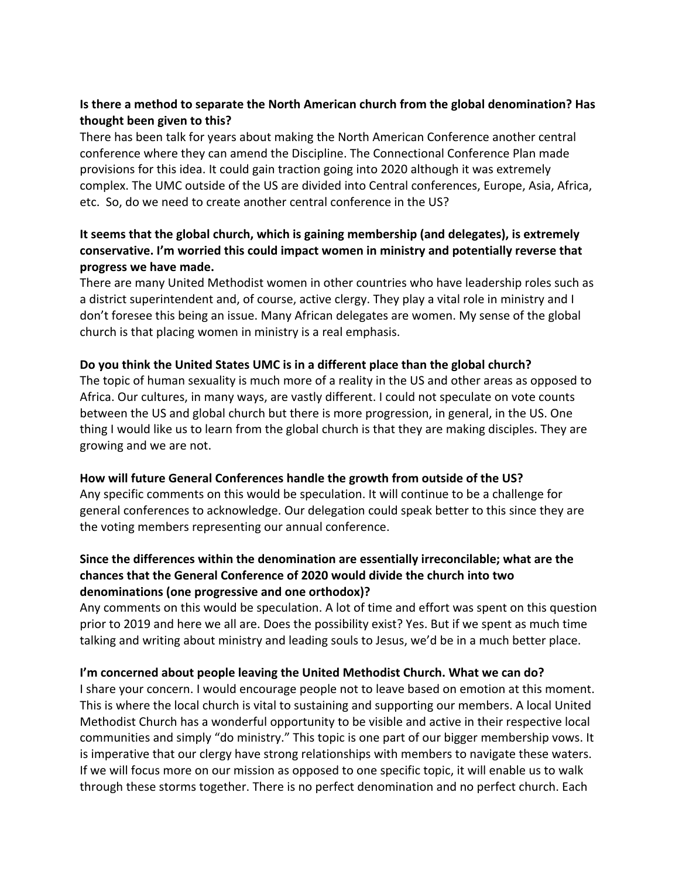# **Is there a method to separate the North American church from the global denomination? Has thought been given to this?**

There has been talk for years about making the North American Conference another central conference where they can amend the Discipline. The Connectional Conference Plan made provisions for this idea. It could gain traction going into 2020 although it was extremely complex. The UMC outside of the US are divided into Central conferences, Europe, Asia, Africa, etc. So, do we need to create another central conference in the US?

# **It seems that the global church, which is gaining membership (and delegates), is extremely conservative. I'm worried this could impact women in ministry and potentially reverse that progress we have made.**

There are many United Methodist women in other countries who have leadership roles such as a district superintendent and, of course, active clergy. They play a vital role in ministry and I don't foresee this being an issue. Many African delegates are women. My sense of the global church is that placing women in ministry is a real emphasis.

### **Do you think the United States UMC is in a different place than the global church?**

The topic of human sexuality is much more of a reality in the US and other areas as opposed to Africa. Our cultures, in many ways, are vastly different. I could not speculate on vote counts between the US and global church but there is more progression, in general, in the US. One thing I would like us to learn from the global church is that they are making disciples. They are growing and we are not.

## **How will future General Conferences handle the growth from outside of the US?**

Any specific comments on this would be speculation. It will continue to be a challenge for general conferences to acknowledge. Our delegation could speak better to this since they are the voting members representing our annual conference.

# **Since the differences within the denomination are essentially irreconcilable; what are the chances that the General Conference of 2020 would divide the church into two denominations (one progressive and one orthodox)?**

Any comments on this would be speculation. A lot of time and effort was spent on this question prior to 2019 and here we all are. Does the possibility exist? Yes. But if we spent as much time talking and writing about ministry and leading souls to Jesus, we'd be in a much better place.

## **I'm concerned about people leaving the United Methodist Church. What we can do?**

I share your concern. I would encourage people not to leave based on emotion at this moment. This is where the local church is vital to sustaining and supporting our members. A local United Methodist Church has a wonderful opportunity to be visible and active in their respective local communities and simply "do ministry." This topic is one part of our bigger membership vows. It is imperative that our clergy have strong relationships with members to navigate these waters. If we will focus more on our mission as opposed to one specific topic, it will enable us to walk through these storms together. There is no perfect denomination and no perfect church. Each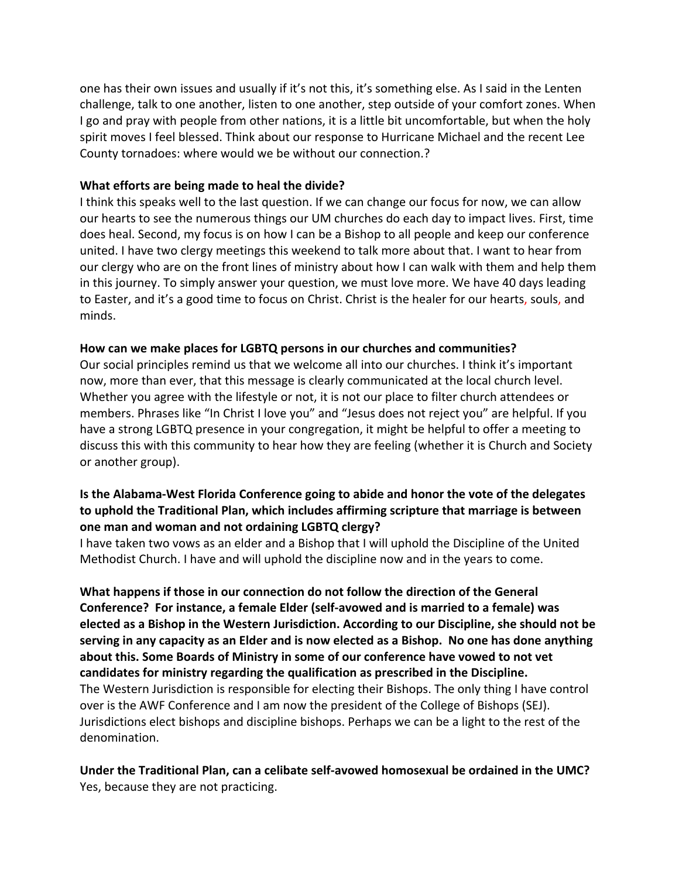one has their own issues and usually if it's not this, it's something else. As I said in the Lenten challenge, talk to one another, listen to one another, step outside of your comfort zones. When I go and pray with people from other nations, it is a little bit uncomfortable, but when the holy spirit moves I feel blessed. Think about our response to Hurricane Michael and the recent Lee County tornadoes: where would we be without our connection.?

#### **What efforts are being made to heal the divide?**

I think this speaks well to the last question. If we can change our focus for now, we can allow our hearts to see the numerous things our UM churches do each day to impact lives. First, time does heal. Second, my focus is on how I can be a Bishop to all people and keep our conference united. I have two clergy meetings this weekend to talk more about that. I want to hear from our clergy who are on the front lines of ministry about how I can walk with them and help them in this journey. To simply answer your question, we must love more. We have 40 days leading to Easter, and it's a good time to focus on Christ. Christ is the healer for our hearts, souls, and minds.

### **How can we make places for LGBTQ persons in our churches and communities?**

Our social principles remind us that we welcome all into our churches. I think it's important now, more than ever, that this message is clearly communicated at the local church level. Whether you agree with the lifestyle or not, it is not our place to filter church attendees or members. Phrases like "In Christ I love you" and "Jesus does not reject you" are helpful. If you have a strong LGBTQ presence in your congregation, it might be helpful to offer a meeting to discuss this with this community to hear how they are feeling (whether it is Church and Society or another group).

## **Is the Alabama-West Florida Conference going to abide and honor the vote of the delegates to uphold the Traditional Plan, which includes affirming scripture that marriage is between one man and woman and not ordaining LGBTQ clergy?**

I have taken two vows as an elder and a Bishop that I will uphold the Discipline of the United Methodist Church. I have and will uphold the discipline now and in the years to come.

**What happens if those in our connection do not follow the direction of the General Conference? For instance, a female Elder (self-avowed and is married to a female) was elected as a Bishop in the Western Jurisdiction. According to our Discipline, she should not be serving in any capacity as an Elder and is now elected as a Bishop. No one has done anything about this. Some Boards of Ministry in some of our conference have vowed to not vet candidates for ministry regarding the qualification as prescribed in the Discipline.** The Western Jurisdiction is responsible for electing their Bishops. The only thing I have control over is the AWF Conference and I am now the president of the College of Bishops (SEJ). Jurisdictions elect bishops and discipline bishops. Perhaps we can be a light to the rest of the denomination.

**Under the Traditional Plan, can a celibate self-avowed homosexual be ordained in the UMC?** Yes, because they are not practicing.